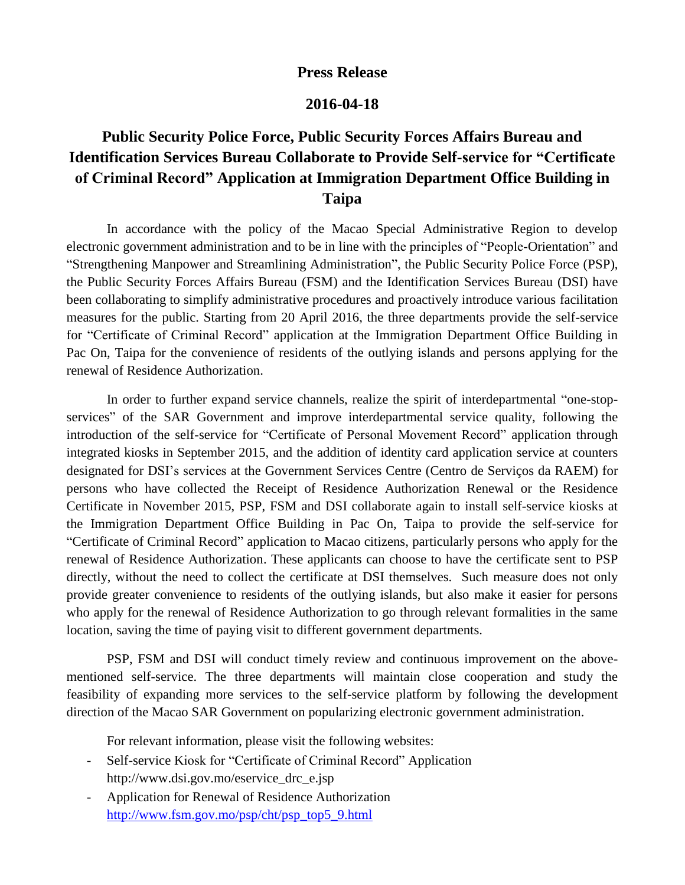## **Press Release**

## **2016-04-18**

## **Public Security Police Force, Public Security Forces Affairs Bureau and Identification Services Bureau Collaborate to Provide Self-service for "Certificate of Criminal Record" Application at Immigration Department Office Building in Taipa**

In accordance with the policy of the Macao Special Administrative Region to develop electronic government administration and to be in line with the principles of "People-Orientation" and "Strengthening Manpower and Streamlining Administration", the Public Security Police Force (PSP), the Public Security Forces Affairs Bureau (FSM) and the Identification Services Bureau (DSI) have been collaborating to simplify administrative procedures and proactively introduce various facilitation measures for the public. Starting from 20 April 2016, the three departments provide the self-service for "Certificate of Criminal Record" application at the Immigration Department Office Building in Pac On, Taipa for the convenience of residents of the outlying islands and persons applying for the renewal of Residence Authorization.

In order to further expand service channels, realize the spirit of interdepartmental "one-stopservices" of the SAR Government and improve interdepartmental service quality, following the introduction of the self-service for "Certificate of Personal Movement Record" application through integrated kiosks in September 2015, and the addition of identity card application service at counters designated for DSI's services at the Government Services Centre (Centro de Serviços da RAEM) for persons who have collected the Receipt of Residence Authorization Renewal or the Residence Certificate in November 2015, PSP, FSM and DSI collaborate again to install self-service kiosks at the Immigration Department Office Building in Pac On, Taipa to provide the self-service for "Certificate of Criminal Record" application to Macao citizens, particularly persons who apply for the renewal of Residence Authorization. These applicants can choose to have the certificate sent to PSP directly, without the need to collect the certificate at DSI themselves. Such measure does not only provide greater convenience to residents of the outlying islands, but also make it easier for persons who apply for the renewal of Residence Authorization to go through relevant formalities in the same location, saving the time of paying visit to different government departments.

PSP, FSM and DSI will conduct timely review and continuous improvement on the abovementioned self-service. The three departments will maintain close cooperation and study the feasibility of expanding more services to the self-service platform by following the development direction of the Macao SAR Government on popularizing electronic government administration.

For relevant information, please visit the following websites:

- Self-service Kiosk for "Certificate of Criminal Record" Application http://www.dsi.gov.mo/eservice\_drc\_e.jsp
- Application for Renewal of Residence Authorization [http://www.fsm.gov.mo/psp/cht/psp\\_top5\\_9.html](http://www.fsm.gov.mo/psp/cht/psp_top5_9.html)